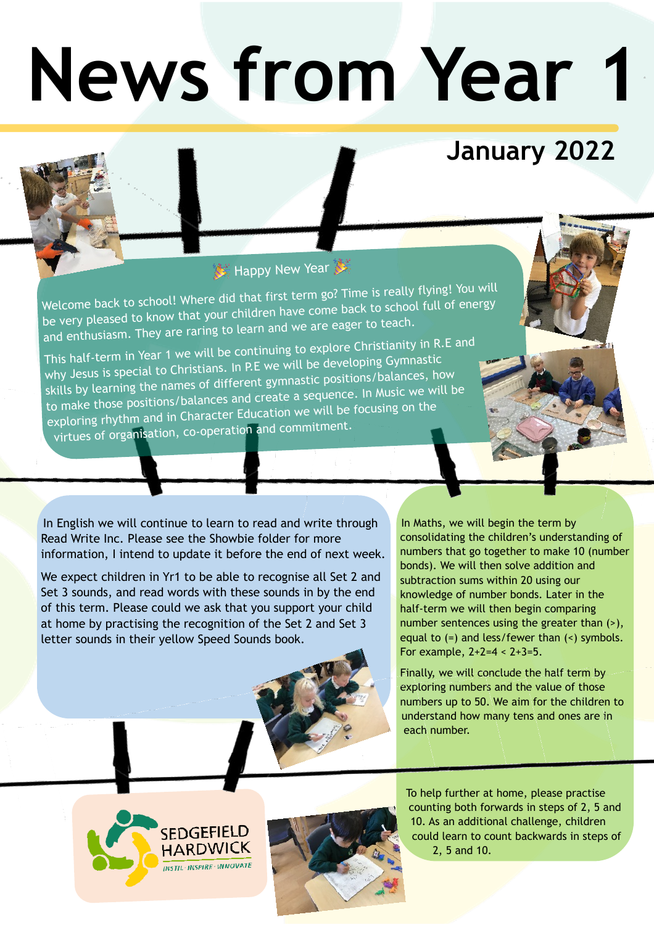# **News from Year 1**

## **January 2022**

### Happy New Year

Welcome back to school! Where did that first term go? Time is really flying! You will be very pleased to know that your children have come back to school full of energy and enthusiasm. They are raring to learn and we are eager to teach.

This half-term in Year 1 we will be continuing to explore Christianity in R.E and why Jesus is special to Christians. In P.E we will be developing Gymnastic skills by learning the names of different gymnastic positions/balances, how to make those positions/balances and create a sequence. In Music we will be exploring rhythm and in Character Education we will be focusing on the virtues of organisation, co-operation and commitment.

In English we will continue to learn to read and write through Read Write Inc. Please see the Showbie folder for more information, I intend to update it before the end of next week.

We expect children in Yr1 to be able to recognise all Set 2 and Set 3 sounds, and read words with these sounds in by the end of this term. Please could we ask that you support your child at home by practising the recognition of the Set 2 and Set 3 letter sounds in their yellow Speed Sounds book.



In Maths, we will begin the term by consolidating the children's understanding of numbers that go together to make 10 (number bonds). We will then solve addition and subtraction sums within 20 using our knowledge of number bonds. Later in the half-term we will then begin comparing number sentences using the greater than  $(>)$ , equal to (=) and less/fewer than (<) symbols. For example,  $2+2=4 < 2+3=5$ .

Finally, we will conclude the half term by exploring numbers and the value of those numbers up to 50. We aim for the children to understand how many tens and ones are in each number.





To help further at home, please practise counting both forwards in steps of 2, 5 and 10. As an additional challenge, children could learn to count backwards in steps of 2, 5 and 10.